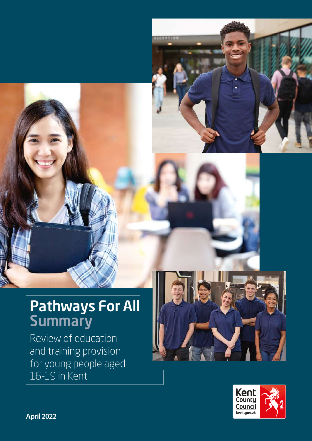

## Pathways For All **Summary**

Review of education and training provision for young people aged 16-19 in Kent





**April 2022**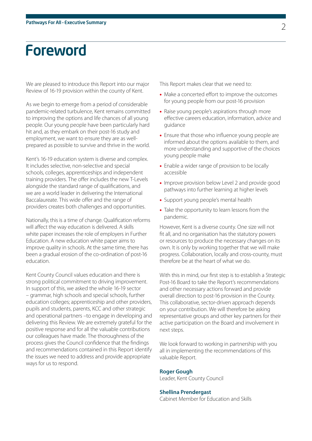## Foreword

We are pleased to introduce this Report into our major Review of 16-19 provision within the county of Kent.

As we begin to emerge from a period of considerable pandemic-related turbulence, Kent remains committed to improving the options and life chances of all young people. Our young people have been particularly hard hit and, as they embark on their post-16 study and employment, we want to ensure they are as wellprepared as possible to survive and thrive in the world.

Kent's 16-19 education system is diverse and complex. It includes selective, non-selective and special schools, colleges, apprenticeships and independent training providers. The offer includes the new T-Levels alongside the standard range of qualifications, and we are a world leader in delivering the International Baccalaureate. This wide offer and the range of providers creates both challenges and opportunities.

Nationally, this is a time of change. Qualification reforms will affect the way education is delivered. A skills white paper increases the role of employers in Further Education. A new education white paper aims to improve quality in schools. At the same time, there has been a gradual erosion of the co-ordination of post-16 education.

Kent County Council values education and there is strong political commitment to driving improvement. In support of this, we asked the whole 16-19 sector – grammar, high schools and special schools, further education colleges; apprenticeship and other providers, pupils and students, parents, KCC and other strategic and operational partners –to engage in developing and delivering this Review. We are extremely grateful for the positive response and for all the valuable contributions our colleagues have made. The thoroughness of the process gives the Council confidence that the findings and recommendations contained in this Report identify the issues we need to address and provide appropriate ways for us to respond.

This Report makes clear that we need to:

- Make a concerted effort to improve the outcomes for young people from our post-16 provision
- Raise young people's aspirations through more effective careers education, information, advice and guidance
- Ensure that those who influence young people are informed about the options available to them, and more understanding and supportive of the choices young people make
- Enable a wider range of provision to be locally accessible
- Improve provision below Level 2 and provide good pathways into further learning at higher levels
- Support young people's mental health
- Take the opportunity to learn lessons from the pandemic.

However, Kent is a diverse county. One size will not fit all, and no organisation has the statutory powers or resources to produce the necessary changes on its own. It is only by working together that we will make progress. Collaboration, locally and cross-county, must therefore be at the heart of what we do.

With this in mind, our first step is to establish a Strategic Post-16 Board to take the Report's recommendations and other necessary actions forward and provide overall direction to post-16 provision in the County. This collaborative, sector-driven approach depends on your contribution. We will therefore be asking representative groups and other key partners for their active participation on the Board and involvement in next steps.

We look forward to working in partnership with you all in implementing the recommendations of this valuable Report.

#### **Roger Gough**

Leader, Kent County Council

#### **Shellina Prendergast**

Cabinet Member for Education and Skills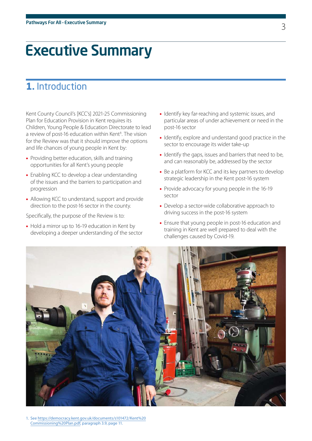## Executive Summary

## **1.** Introduction

Kent County Council's [KCC's] 2021-25 Commissioning Plan for Education Provision in Kent requires its Children, Young People & Education Directorate to lead a review of post-16 education within Kent<sup>1</sup>. The vision for the Review was that it should improve the options and life chances of young people in Kent by:

- Providing better education, skills and training opportunities for all Kent's young people
- Enabling KCC to develop a clear understanding of the issues and the barriers to participation and progression
- Allowing KCC to understand, support and provide direction to the post-16 sector in the county.

Specifically, the purpose of the Review is to:

• Hold a mirror up to 16-19 education in Kent by developing a deeper understanding of the sector

- Identify key far-reaching and systemic issues, and particular areas of under achievement or need in the post-16 sector
- Identify, explore and understand good practice in the sector to encourage its wider take-up
- Identify the gaps, issues and barriers that need to be, and can reasonably be, addressed by the sector
- Be a platform for KCC and its key partners to develop strategic leadership in the Kent post-16 system
- Provide advocacy for young people in the 16-19 sector
- Develop a sector-wide collaborative approach to driving success in the post-16 system
- Ensure that young people in post-16 education and training in Kent are well prepared to deal with the challenges caused by Covid-19.



1. See [https://democracy.kent.gov.uk/documents/s101472/Kent%20](https://democracy.kent.gov.uk/documents/s101472/Kent%20Commissioning%20Plan.pdf) [Commissioning%20Plan.pdf](https://democracy.kent.gov.uk/documents/s101472/Kent%20Commissioning%20Plan.pdf), paragraph 3.9, page 11.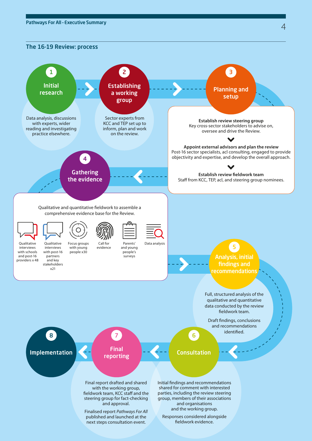The 16-19 Review: process

#### Data analysis, discussions with experts, wider reading and investigating practice elsewhere. Initial research Establishing a working group Sector experts from KCC and TEP set up to inform, plan and work on the review. Full, structured analysis of the qualitative and quantitative data conducted by the review fieldwork team. Draft findings, conclusions and recommendations identified. 1 2 Planning and setup 3 **Establish review steering group**  Key cross-sector stakeholders to advise on, oversee and drive the Review. **Appoint external advisors and plan the review**  Post-16 sector specialists, acl consulting, engaged to provide objectivity and expertise, and develop the overall approach. **Establish review fieldwork team**  Staff from KCC, TEP, acl, and steering group nominees. **Gathering** the evidence 4 Qualitative and quantitative fieldwork to assemble a comprehensive evidence base for the Review. Qualitative interviews with schools and post-16 providers x 48 Qualitative interviews with post-16 partners and key stakeholders x21 Focus groups with young people x30 Call for evidence Parents' and young people's .<br>surveys Data analysis Analysis, initial findings and ecommendations 5 Implementation 8 **Consultation** 6 Final report drafted and shared Initial findings and recommendations Final reporting 7

with the working group, fieldwork team, KCC staff and the steering group for fact-checking and approval.

Finalised report *Pathways For All*  published and launched at the next steps consultation event.

shared for comment with interested parties, including the review steering group, members of their associations and organisations and the working group.

Responses considered alongside fieldwork evidence.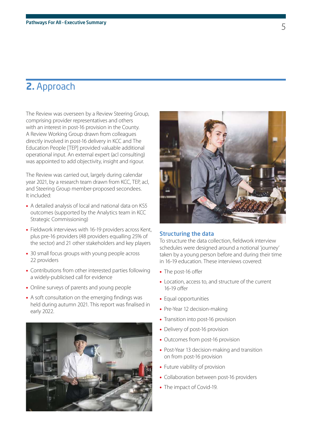### **2.** Approach

The Review was overseen by a Review Steering Group, comprising provider representatives and others with an interest in post-16 provision in the County. A Review Working Group drawn from colleagues directly involved in post-16 delivery in KCC and The Education People [TEP] provided valuable additional operational input. An external expert (acl consulting) was appointed to add objectivity, insight and rigour.

The Review was carried out, largely during calendar year 2021, by a research team drawn from KCC, TEP, acl, and Steering Group member-proposed secondees. It included:

- A detailed analysis of local and national data on KS5 outcomes (supported by the Analytics team in KCC Strategic Commissioning)
- Fieldwork interviews with 16-19 providers across Kent, plus pre-16 providers (48 providers equalling 25% of the sector) and 21 other stakeholders and key players
- 30 small focus groups with young people across 22 providers
- Contributions from other interested parties following a widely-publicised call for evidence
- Online surveys of parents and young people
- A soft consultation on the emerging findings was held during autumn 2021. This report was finalised in early 2022.





#### Structuring the data

To structure the data collection, fieldwork interview schedules were designed around a notional 'journey' taken by a young person before and during their time in 16-19 education. These interviews covered:

- The post-16 offer
- Location, access to, and structure of the current 16-19 offer
- Equal opportunities
- Pre-Year 12 decision-making
- Transition into post-16 provision
- Delivery of post-16 provision
- Outcomes from post-16 provision
- Post-Year 13 decision-making and transition on from post-16 provision
- Future viability of provision
- Collaboration between post-16 providers
- The impact of Covid-19.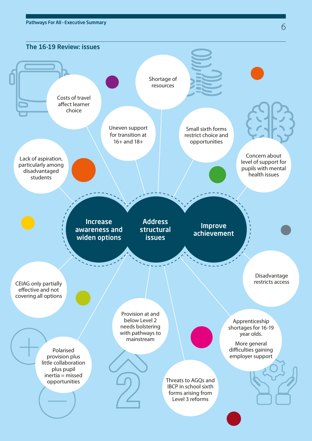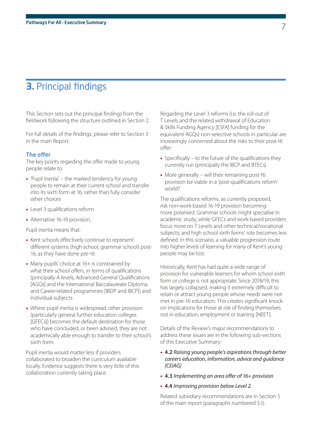### **3.** Principal findings

This Section sets out the principal findings from the fieldwork following the structure outlined in Section 2.

For full details of the findings, please refer to Section 3 in the main Report.

#### The offer

The key points regarding the offer made to young people relate to:

- 'Pupil inertia' the marked tendency for young people to remain at their current school and transfer into its sixth form at 16, rather than fully consider other choices
- Level 3 qualifications reform
- Alternative 16-19 provision.

Pupil inertia means that:

- Kent schools effectively continue to represent different systems (high school, grammar school) post-16, as they have done pre-16
- Many pupils' choice at 16+ is constrained by what their school offers, in terms of qualifications (principally A levels, Advanced General Qualifications [AGQs] and the International Baccalaureate Diploma and Career-related programmes [IBDP and IBCP]) and individual subjects
- Where pupil inertia is widespread, other provision (particularly general further education colleges [GFECs]) becomes the default destination for those who have concluded, or been advised, they are not academically able enough to transfer to their school's sixth form.

Pupil inertia would matter less if providers collaborated to broaden the curriculum available locally. Evidence suggests there is very little of this collaboration currently taking place.

Regarding the Level 3 reforms (i.e. the roll out of T Levels and the related withdrawal of Education & Skills Funding Agency [ESFA] funding for the equivalent AGQs) non-selective schools in particular are increasingly concerned about the risks to their post-16 offer:

- Specifically to the future of the qualifications they currently run (principally the IBCP and BTECs)
- More generally will their remaining post-16 provision be viable in a 'post-qualifications reform' world?

The qualifications reforms, as currently proposed, risk non-work-based 16-19 provision becoming more polarised. Grammar schools might specialise in academic study, while GFECs and work-based providers focus more on T Levels and other technical/vocational subjects; and high school sixth forms' role becomes less defined. In this scenario, a valuable progression route into higher levels of learning for many of Kent's young people may be lost.

Historically, Kent has had quite a wide range of provision for vulnerable learners for whom school sixth form or college is not appropriate. Since 2018/19, this has largely collapsed, making it extremely difficult to retain or attract young people whose needs were not met in pre-16 education. This creates significant knockon implications for those at risk of finding themselves not in education, employment or training [NEET].

Details of the Review's major recommendations to address these issues are in the following sub-sections of this Executive Summary:

#### • **4.2** *Raising young people's aspirations through better careers education, information, advice and guidance [CEIAG]*

- **4.3** *Implementing an area offer of 16+ provision*
- **4.4** *Improving provision below Level 2.*

Related subsidiary recommendations are in Section 5 of the main report (paragraphs numbered 5.1).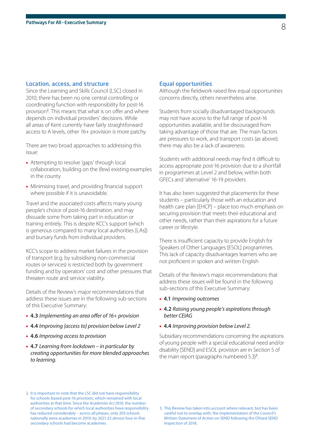#### Location, access, and structure

Since the Learning and Skills Council [LSC] closed in 2010, there has been no one central controlling or coordinating function with responsibility for post-16 provision<sup>2</sup>. This means that what is on offer and where depends on individual providers' decisions. While all areas of Kent currently have fairly straightforward access to A levels, other 16+ provision is more patchy.

There are two broad approaches to addressing this issue:

- Attempting to resolve 'gaps' through local collaboration, building on the (few) existing examples in the county
- Minimising travel, and providing financial support where possible if it is unavoidable.

Travel and the associated costs affects many young people's choice of post-16 destination, and may dissuade some from taking part in education or training entirely. This is despite KCC's support (which is generous compared to many local authorities [LAs]) and bursary funds from individual providers.

KCC's scope to address market failures in the provision of transport (e.g. by subsidising non-commercial routes or services) is restricted both by government funding and by operators' cost and other pressures that threaten route and service viability.

Details of the Review's major recommendations that address these issues are in the following sub-sections of this Executive Summary:

- **4.3** *Implementing an area offer of 16+ provision*
- **4.4** *Improving [access to] provision below Level 2*
- **4.6** *Improving access to provision*
- **4.7** *Learning from lockdown in particular by creating opportunities for more blended approaches to learning.*

#### Equal opportunities

Although the fieldwork raised few equal opportunities concerns directly, others nevertheless arise.

Students from socially disadvantaged backgrounds may not have access to the full range of post-16 opportunities available, and be discouraged from taking advantage of those that are. The main factors are pressures to work, and transport costs (as above); there may also be a lack of awareness.

Students with additional needs may find it difficult to access appropriate post-16 provision due to a shortfall in programmes at Level 2 and below, within both GFECs and 'alternative' 16-19 providers.

It has also been suggested that placements for these students – particularly those with an education and health care plan [EHCP] – place too much emphasis on securing provision that meets their educational and other needs, rather than their aspirations for a future career or lifestyle.

There is insufficient capacity to provide English for Speakers of Other Languages [ESOL] programmes. This lack of capacity disadvantages learners who are not proficient in spoken and written English

Details of the Review's major recommendations that address these issues will be found in the following sub-sections of this Executive Summary:

- **4.1** *Improving outcomes*
- **4.2** *Raising young people's aspirations through better CEIAG*
- **4.4** *Improving provision below Level 2.*

Subsidiary recommendations concerning the aspirations of young people with a special educational need and/or disability [SEND] and ESOL provision are in Section 5 of the main report (paragraphs numbered  $5.3$ )<sup>3</sup>. .

2. It is important to note that the LSC did not have responsibility for schools-based post-16 provision, which remained with local authorities at that time. Since the *Academies Act 2010,* the number of secondary schools for which local authorities have responsibility has reduced considerably – across all phases, only 203 schools nationally were academies in 2010; by 2021-22 almost four-in-five secondary schools had become academies.

<sup>3.</sup> This Review has taken into account where relevant, but has been careful not to overlap with, the implementation of the Council's Written Statement of Action on SEND following the Ofsted SEND Inspection of 2018.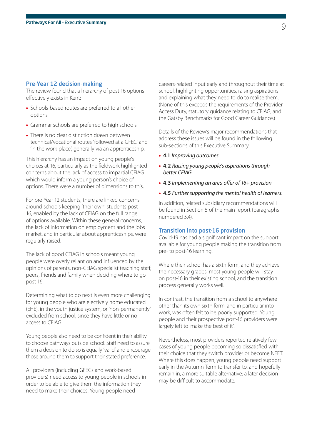#### Pre-Year 12 decision-making

The review found that a hierarchy of post-16 options effectively exists in Kent:

- Schools-based routes are preferred to all other options
- Grammar schools are preferred to high schools
- There is no clear distinction drawn between technical/vocational routes 'followed at a GFEC' and 'in the work-place', generally via an apprenticeship.

This hierarchy has an impact on young people's choices at 16, particularly as the fieldwork highlighted concerns about the lack of access to impartial CEIAG which would inform a young person's choice of options. There were a number of dimensions to this.

For pre-Year 12 students, there are linked concerns around schools keeping 'their own' students post-16, enabled by the lack of CEIAG on the full range of options available. Within these general concerns, the lack of information on employment and the jobs market, and in particular about apprenticeships, were regularly raised.

The lack of good CEIAG in schools meant young people were overly reliant on and influenced by the opinions of parents, non-CEIAG specialist teaching staff, peers, friends and family when deciding where to go post-16.

Determining what to do next is even more challenging for young people who are electively home educated (EHE), in the youth justice system, or 'non-permanently' excluded from school, since they have little or no access to CEIAG.

Young people also need to be confident in their ability to choose pathways outside school. Staff need to assure them a decision to do so is equally 'valid' and encourage those around them to support their stated preference.

All providers (including GFECs and work-based providers) need access to young people in schools in order to be able to give them the information they need to make their choices. Young people need

careers-related input early and throughout their time at school, highlighting opportunities, raising aspirations and explaining what they need to do to realise them. (None of this exceeds the requirements of the Provider Access Duty, statutory guidance relating to CEIAG, and the Gatsby Benchmarks for Good Career Guidance.)

Details of the Review's major recommendations that address these issues will be found in the following sub-sections of this Executive Summary:

- **4.1** *Improving outcomes*
- **4.2** *Raising young people's aspirations through better CEIAG*
- **4.3** *Implementing an area offer of 16+ provision*
- **4.5** *Further supporting the mental health of learners.*

In addition, related subsidiary recommendations will be found in Section 5 of the main report (paragraphs numbered 5.4).

#### Transition into post-16 provision

Covid-19 has had a significant impact on the support available for young people making the transition from pre- to post-16 learning.

Where their school has a sixth form, and they achieve the necessary grades, most young people will stay on post-16 in their existing school, and the transition process generally works well.

In contrast, the transition from a school to anywhere other than its own sixth form, and in particular into work, was often felt to be poorly supported. Young people and their prospective post-16 providers were largely left to 'make the best of it'.

Nevertheless, most providers reported relatively few cases of young people becoming so dissatisfied with their choice that they switch provider or become NEET. Where this does happen, young people need support early in the Autumn Term to transfer to, and hopefully remain in, a more suitable alternative: a later decision may be difficult to accommodate.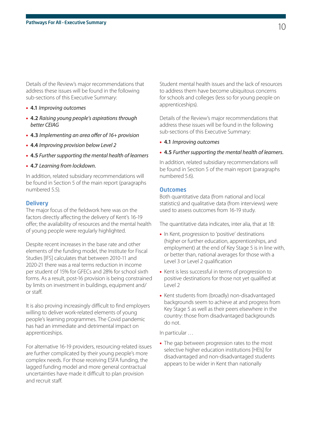Details of the Review's major recommendations that address these issues will be found in the following sub-sections of this Executive Summary:

- **4.1** *Improving outcomes*
- **4.2** *Raising young people's aspirations through better CEIAG*
- **4.3** *Implementing an area offer of 16+ provision*
- **4.4** *Improving provision below Level 2*
- **4.5** *Further supporting the mental health of learners*
- **4.7** *Learning from lockdown.*

In addition, related subsidiary recommendations will be found in Section 5 of the main report (paragraphs numbered 5.5).

#### **Delivery**

The major focus of the fieldwork here was on the factors directly affecting the delivery of Kent's 16-19 offer; the availability of resources and the mental health of young people were regularly highlighted.

Despite recent increases in the base rate and other elements of the funding model, the Institute for Fiscal Studies [IFS] calculates that between 2010-11 and 2020-21 there was a real terms reduction in income per student of 15% for GFECs and 28% for school sixth forms. As a result, post-16 provision is being constrained by limits on investment in buildings, equipment and/ or staff.

It is also proving increasingly difficult to find employers willing to deliver work-related elements of young people's learning programmes. The Covid pandemic has had an immediate and detrimental impact on apprenticeships.

For alternative 16-19 providers, resourcing-related issues are further complicated by their young people's more complex needs. For those receiving ESFA funding, the lagged funding model and more general contractual uncertainties have made it difficult to plan provision and recruit staff.

Student mental health issues and the lack of resources to address them have become ubiquitous concerns for schools and colleges (less so for young people on apprenticeships).

Details of the Review's major recommendations that address these issues will be found in the following sub-sections of this Executive Summary:

• **4.1** *Improving outcomes*

#### • **4.5** *Further supporting the mental health of learners.*

In addition, related subsidiary recommendations will be found in Section 5 of the main report (paragraphs numbered 5.6).

#### **Outcomes**

Both quantitative data (from national and local statistics) and qualitative data (from interviews) were used to assess outcomes from 16-19 study.

The quantitative data indicates, inter alia, that at 18:

- In Kent, progression to 'positive' destinations (higher or further education, apprenticeships, and employment) at the end of Key Stage 5 is in line with, or better than, national averages for those with a Level 3 or Level 2 qualification
- Kent is less successful in terms of progression to positive destinations for those not yet qualified at Level 2
- Kent students from (broadly) non-disadvantaged backgrounds seem to achieve at and progress from Key Stage 5 as well as their peers elsewhere in the country: those from disadvantaged backgrounds do not.

In particular …

• The gap between progression rates to the most selective higher education institutions [HEIs] for disadvantaged and non-disadvantaged students appears to be wider in Kent than nationally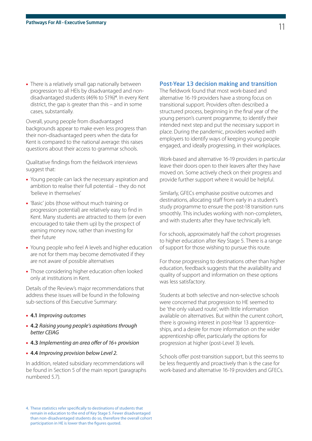• There is a relatively small gap nationally between progression to all HEIs by disadvantaged and nondisadvantaged students (46% to 51%)<sup>4</sup> . In every Kent district, the gap is greater than this – and in some cases, substantially.

Overall, young people from disadvantaged backgrounds appear to make even less progress than their non-disadvantaged peers when the data for Kent is compared to the national average: this raises questions about their access to grammar schools.

Qualitative findings from the fieldwork interviews suggest that:

- Young people can lack the necessary aspiration and ambition to realise their full potential – they do not 'believe in themselves'
- 'Basic' jobs (those without much training or progression potential) are relatively easy to find in Kent. Many students are attracted to them (or even encouraged to take them up) by the prospect of earning money now, rather than investing for their future
- Young people who feel A levels and higher education are not for them may become demotivated if they are not aware of possible alternatives
- Those considering higher education often looked only at institutions in Kent.

Details of the Review's major recommendations that address these issues will be found in the following sub-sections of this Executive Summary:

- **4.1** *Improving outcomes*
- **4.2** *Raising young people's aspirations through better CEIAG*
- **4.3** *Implementing an area offer of 16+ provision*
- **4.4** *Improving provision below Level 2.*

In addition, related subsidiary recommendations will be found in Section 5 of the main report (paragraphs numbered 5.7).

#### Post-Year 13 decision making and transition

The fieldwork found that most work-based and alternative 16-19 providers have a strong focus on transitional support. Providers often described a structured process, beginning in the final year of the young person's current programme, to identify their intended next step and put the necessary support in place. During the pandemic, providers worked with employers to identify ways of keeping young people engaged, and ideally progressing, in their workplaces.

Work-based and alternative 16-19 providers in particular leave their doors open to their leavers after they have moved on. Some actively check on their progress and provide further support where it would be helpful.

Similarly, GFECs emphasise positive outcomes and destinations, allocating staff from early in a student's study programme to ensure the post-18 transition runs smoothly. This includes working with non-completers, and with students after they have technically left.

For schools, approximately half the cohort progresses to higher education after Key Stage 5. There is a range of support for those wishing to pursue this route.

For those progressing to destinations other than higher education, feedback suggests that the availability and quality of support and information on these options was less satisfactory.

Students at both selective and non-selective schools were concerned that progression to HE seemed to be 'the only valued route', with little information available on alternatives. But within the current cohort, there is growing interest in post-Year 13 apprenticeships, and a desire for more information on the wider apprenticeship offer, particularly the options for progression at higher (post-Level 3) levels.

Schools offer post-transition support, but this seems to be less frequently and proactively than is the case for work-based and alternative 16-19 providers and GFECs.

<sup>4.</sup> These statistics refer specifically to destinations of students that remain in education to the end of Key Stage 5. Fewer disadvantaged than non-disadvantaged students do so, therefore the overall cohort participation in HE is lower than the figures quoted.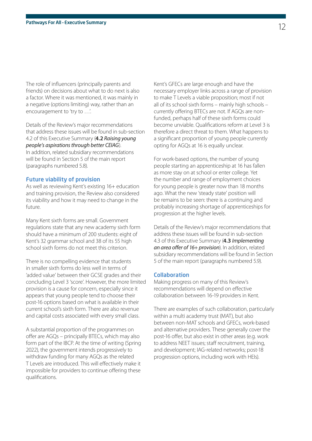The role of influencers (principally parents and friends) on decisions about what to do next is also a factor. Where it was mentioned, it was mainly in a negative (options limiting) way, rather than an encouragement to 'try to …'.

Details of the Review's major recommendations that address these issues will be found in sub-section 4.2 of this Executive Summary (**4.2** *Raising young people's aspirations through better CEIAG*). In addition, related subsidiary recommendations will be found in Section 5 of the main report (paragraphs numbered 5.8).

#### Future viability of provision

As well as reviewing Kent's existing 16+ education and training provision, the Review also considered its viability and how it may need to change in the future.

Many Kent sixth forms are small. Government regulations state that any new academy sixth form should have a minimum of 200 students: eight of Kent's 32 grammar school and 38 of its 55 high school sixth forms do not meet this criterion.

There is no compelling evidence that students in smaller sixth forms do less well in terms of 'added value' between their GCSE grades and their concluding Level 3 'score'. However, the more limited provision is a cause for concern, especially since it appears that young people tend to choose their post-16 options based on what is available in their current school's sixth form. There are also revenue and capital costs associated with every small class.

A substantial proportion of the programmes on offer are AGQs – principally BTECs, which may also form part of the IBCP. At the time of writing (Spring 2022), the government intends progressively to withdraw funding for many AGQs as the related T Levels are introduced. This will effectively make it impossible for providers to continue offering these qualifications.

Kent's GFECs are large enough and have the necessary employer links across a range of provision to make T Levels a viable proposition; most if not all of its school sixth forms – mainly high schools – currently offering BTECs are not. If AGQs are nonfunded, perhaps half of these sixth forms could become unviable. Qualifications reform at Level 3 is therefore a direct threat to them. What happens to a significant proportion of young people currently opting for AGQs at 16 is equally unclear.

For work-based options, the number of young people starting an apprenticeship at 16 has fallen as more stay on at school or enter college. Yet the number and range of employment choices for young people is greater now than 18 months ago. What the new 'steady state' position will be remains to be seen: there is a continuing and probably increasing shortage of apprenticeships for progression at the higher levels.

Details of the Review's major recommendations that address these issues will be found in sub-section 4.3 of this Executive Summary (**4.3** *Implementing an area offer of 16+ provision*). In addition, related subsidiary recommendations will be found in Section 5 of the main report (paragraphs numbered 5.9).

#### Collaboration

Making progress on many of this Review's recommendations will depend on effective collaboration between 16-19 providers in Kent.

There are examples of such collaboration, particularly within a multi academy trust (MAT), but also between non-MAT schools and GFECs, work-based and alternative providers. These generally cover the post-16 offer, but also exist in other areas (e.g. work to address NEET issues; staff recruitment, training, and development; IAG-related networks; post-18 progression options, including work with HEIs).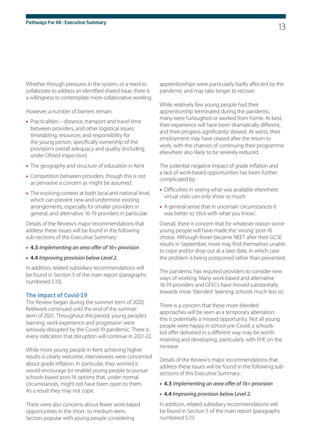Whether through pressures in the system, or a need to collaborate to address an identified shared issue, there is a willingness to contemplate more collaborative working.

However, a number of barriers remain:

- Practicalities distance, transport and travel time between providers, and other logistical issues; timetabling; resources; and responsibility for the young person, specifically ownership of the provision's overall adequacy and quality (including under Ofsted inspection)
- The geography and structure of education in Kent
- Competition between providers, though this is not as pervasive a concern as might be assumed
- The evolving context at both local and national level, which can prevent new and undermine existing arrangements, especially for smaller providers in general, and alternative 16-19 providers in particular.

Details of the Review's major recommendations that address these issues will be found in the following sub-sections of this Executive Summary:

- **4.3** *Implementing an area offer of 16+ provision*
- **4.4** *Improving provision below Level 2.*

In addition, related subsidiary recommendations will be found in Section 5 of the main report (paragraphs numbered 5.10).

#### The impact of Covid-19

The Review began during the summer term of 2020; fieldwork continued until the end of the summer term of 2021. Throughout this period, young people's learning, work experience and progression were seriously disrupted by the Covid-19 pandemic. There is every indication that disruption will continue in 2021-22.

While more young people in Kent achieving higher results is clearly welcome, interviewees were concerned about grade inflation. In particular, they worried it would encourage (or enable) young people to pursue schools-based post-16 options that, under normal circumstances, might not have been open to them. As a result they may not cope.

There were also concerns about fewer work-based opportunities in the short- to medium-term. Sectors popular with young people considering

apprenticeships were particularly badly affected by the pandemic and may take longer to recover.

While relatively few young people had their apprenticeship terminated during the pandemic, many were furloughed or worked from home. At best, their experience will have been dramatically different, and their progress significantly slowed. At worst, their employment may have ceased after the return to work, with the chances of continuing their programme elsewhere also likely to be severely reduced.

The potential negative impact of grade inflation and a lack of work-based opportunities has been further complicated by:

- Difficulties in seeing what was available elsewhere: virtual visits can only show so much
- A general sense that in uncertain circumstances it was better to 'stick with what you know'.

Overall, there is concern that for whatever reason some young people will have made the 'wrong' post-16 choice. Although fewer became NEET after their GCSE results in September, more may find themselves unable to cope and/or drop out at a later date, in which case the problem is being postponed rather than prevented.

The pandemic has required providers to consider new ways of working. Many work-based and alternative 16-19 providers and GFECs have moved substantially towards more 'blended' learning; schools much less so.

There is a concern that these more blended approaches will be seen as a temporary aberration: this is potentially a missed opportunity. Not all young people were happy in school pre-Covid: a schoolsled offer delivered in a different way may be worth retaining and developing, particularly with EHE on the increase.

Details of the Review's major recommendations that address these issues will be found in the following subsections of this Executive Summary:

- **4.3** *Implementing an area offer of 16+ provision*
- **4.4** *Improving provision below Level 2.*

In addition, related subsidiary recommendations will be found in Section 5 of the main report (paragraphs numbered 5.11).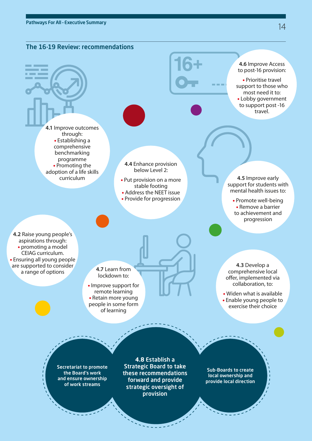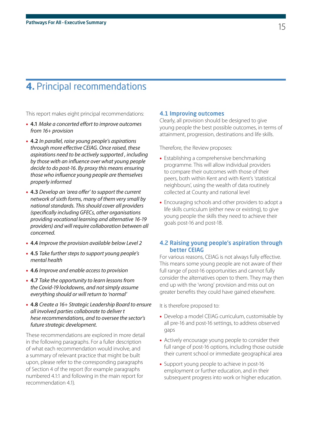### **4.** Principal recommendations

This report makes eight principal recommendations:

- **4.1** *Make a concerted effort to improve outcomes from 16+ provision*
- **4.2** *In parallel, raise young people's aspirations through more effective CEIAG. Once raised, these aspirations need to be actively supported , including by those with an influence over what young people decide to do post-16. By proxy this means ensuring those who influence young people are themselves properly informed*
- **4.3** *Develop an 'area offer' to support the current network of sixth forms, many of them very small by national standards. This should cover all providers (specifically including GFECs, other organisations providing vocational learning and alternative 16-19 providers) and will require collaboration between all concerned.*
- **4.4** *Improve the provision available below Level 2*
- **4.5** *Take further steps to support young people's mental health*
- **4.6** *Improve and enable access to provision*
- **4.7** *Take the opportunity to learn lessons from the Covid-19 lockdowns, and not simply assume everything should or will return to 'normal'*
- **4.8** *Create a 16+ Strategic Leadership Board to ensure all involved parties collaborate to deliver t hese recommendations, and to oversee the sector's future strategic development.*

These recommendations are explored in more detail in the following paragraphs. For a fuller description of what each recommendation would involve, and a summary of relevant practice that might be built upon, please refer to the corresponding paragraphs of Section 4 of the report (for example paragraphs numbered 4.1:1 and following in the main report for recommendation 4.1).

#### 4.1 Improving outcomes

Clearly, all provision should be designed to give young people the best possible outcomes, in terms of attainment, progression, destinations and life skills.

Therefore, the Review proposes:

- Establishing a comprehensive benchmarking programme. This will allow individual providers to compare their outcomes with those of their peers, both within Kent and with Kent's 'statistical neighbours', using the wealth of data routinely collected at County and national level
- Encouraging schools and other providers to adopt a life skills curriculum (either new or existing), to give young people the skills they need to achieve their goals post-16 and post-18.

#### 4.2 Raising young people's aspiration through better CEIAG

For various reasons, CEIAG is not always fully effective. This means some young people are not aware of their full range of post-16 opportunities and cannot fully consider the alternatives open to them. They may then end up with the 'wrong' provision and miss out on greater benefits they could have gained elsewhere.

It is therefore proposed to:

- Develop a model CEIAG curriculum, customisable by all pre-16 and post-16 settings, to address observed gaps
- Actively encourage young people to consider their full range of post-16 options, including those outside their current school or immediate geographical area
- Support young people to achieve in post-16 employment or further education, and in their subsequent progress into work or higher education.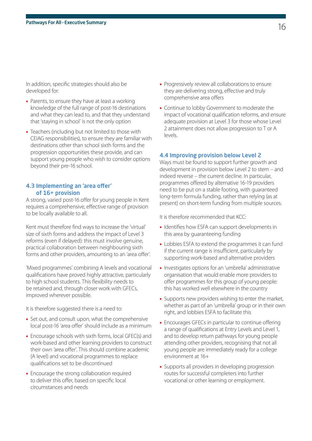In addition, specific strategies should also be developed for:

- Parents, to ensure they have at least a working knowledge of the full range of post-16 destinations and what they can lead to, and that they understand that 'staying in school' is not the only option
- Teachers (including but not limited to those with CEIAG responsibilities), to ensure they are familiar with destinations other than school sixth forms and the progression opportunities these provide, and can support young people who wish to consider options beyond their pre-16 school.

#### 4.3 Implementing an 'area offer' of 16+ provision

A strong, varied post-16 offer for young people in Kent requires a comprehensive, effective range of provision to be locally available to all.

Kent must therefore find ways to increase the 'virtual' size of sixth forms and address the impact of Level 3 reforms (even if delayed): this must involve genuine, practical collaboration between neighbouring sixth forms and other providers, amounting to an 'area offer'.

'Mixed programmes' combining A levels and vocational qualifications have proved highly attractive, particularly to high school students. This flexibility needs to be retained and, through closer work with GFECs, improved wherever possible.

It is therefore suggested there is a need to:

- Set out, and consult upon, what the comprehensive local post-16 'area offer' should include as a minimum
- Encourage schools with sixth forms, local GFEC(s) and work-based and other learning providers to construct their own 'area offer'. This should combine academic (A level) and vocational programmes to replace qualifications set to be discontinued
- Encourage the strong collaboration required to deliver this offer, based on specific local circumstances and needs
- Progressively review all collaborations to ensure they are delivering strong, effective and truly comprehensive area offers
- Continue to lobby Government to moderate the impact of vocational qualification reforms, and ensure adequate provision at Level 3 for those whose Level 2 attainment does not allow progression to T or A levels.

#### 4.4 Improving provision below Level 2

Ways must be found to support further growth and development in provision below Level 2 to stem – and indeed reverse – the current decline. In particular, programmes offered by alternative 16-19 providers need to be put on a stable footing, with guaranteed long-term formula funding, rather than relying (as at present) on short-term funding from multiple sources.

It is therefore recommended that KCC:

- Identifies how ESFA can support developments in this area by guaranteeing funding
- Lobbies ESFA to extend the programmes it can fund if the current range is insufficient, particularly by supporting work-based and alternative providers
- Investigates options for an 'umbrella' administrative organisation that would enable more providers to offer programmes for this group of young people: this has worked well elsewhere in the country
- Supports new providers wishing to enter the market, whether as part of an 'umbrella' group or in their own right, and lobbies ESFA to facilitate this
- Encourages GFECs in particular to continue offering a range of qualifications at Entry Levels and Level 1, and to develop return pathways for young people attending other providers, recognising that not all young people are immediately ready for a college environment at 16+
- Supports all providers in developing progression routes for successful completers into further vocational or other learning or employment.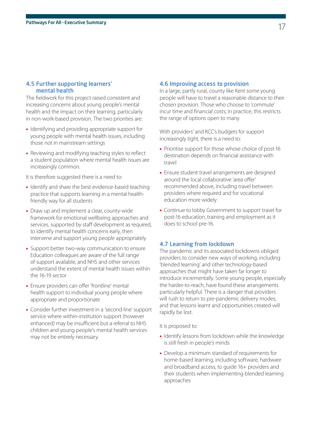#### 4.5 Further supporting learners' mental health

The fieldwork for this project raised consistent and increasing concerns about young people's mental health and the impact on their learning, particularly in non-work-based provision. The two priorities are:

- Identifying and providing appropriate support for young people with mental health issues, including those not in mainstream settings
- Reviewing and modifying teaching styles to reflect a student population where mental health issues are increasingly common.

It is therefore suggested there is a need to:

- Identify and share the best evidence-based teaching practice that supports learning in a mental healthfriendly way for all students
- Draw up and implement a clear, county-wide framework for emotional wellbeing approaches and services, supported by staff development as required, to identify mental health concerns early, then intervene and support young people appropriately
- Support better two-way communication to ensure Education colleagues are aware of the full range of support available, and NHS and other services understand the extent of mental health issues within the 16-19 sector
- Ensure providers can offer 'frontline' mental health support to individual young people where appropriate and proportionate
- Consider further investment in a 'second line' support service where within-institution support (however enhanced) may be insufficient but a referral to NHS children and young people's mental health services may not be entirely necessary.

#### 4.6 Improving access to provision

In a large, partly rural, county like Kent some young people will have to travel a reasonable distance to their chosen provision. Those who choose to 'commute' incur time and financial costs; in practice, this restricts the range of options open to many.

With providers' and KCC's budgets for support increasingly tight, there is a need to:

- Prioritise support for those whose choice of post-16 destination depends on financial assistance with travel
- Ensure student travel arrangements are designed around the local collaborative 'area offer' recommended above, including travel between providers where required and for vocational education more widely
- Continue to lobby Government to support travel for post-16 education, training and employment as it does to school pre-16.

#### 4.7 Learning from lockdown

The pandemic and its associated lockdowns obliged providers to consider new ways of working, including 'blended learning' and other technology-based approaches that might have taken far longer to introduce incrementally. Some young people, especially the harder-to-reach, have found these arrangements particularly helpful. There is a danger that providers will rush to return to pre-pandemic delivery modes, and that lessons learnt and opportunities created will rapidly be lost.

It is proposed to:

- Identify lessons from lockdown while the knowledge is still fresh in people's minds
- Develop a minimum standard of requirements for home-based learning, including software, hardware and broadband access, to guide 16+ providers and their students when implementing blended learning approaches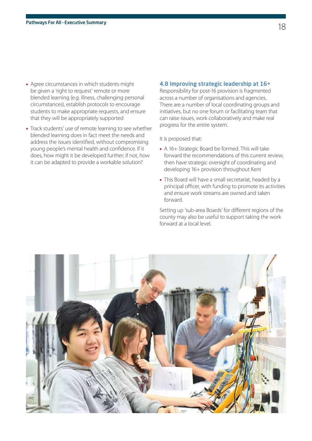- Agree circumstances in which students might be given a 'right to request' remote or more blended learning (e.g. illness, challenging personal circumstances), establish protocols to encourage students to make appropriate requests, and ensure that they will be appropriately supported
- Track students' use of remote learning to see whether blended learning does in fact meet the needs and address the issues identified, without compromising young people's mental health and confidence. If it does, how might it be developed further; if not, how it can be adapted to provide a workable solution?

#### 4.8 Improving strategic leadership at 16+

Responsibility for post-16 provision is fragmented across a number of organisations and agencies. There are a number of local coordinating groups and initiatives, but no one forum or facilitating team that can raise issues, work collaboratively and make real progress for the entire system.

It is proposed that:

- A 16+ Strategic Board be formed. This will take forward the recommendations of this current review, then have strategic oversight of coordinating and developing 16+ provision throughout Kent
- This Board will have a small secretariat, headed by a principal officer, with funding to promote its activities and ensure work streams are owned and taken forward.

Setting up 'sub-area Boards' for different regions of the county may also be useful to support taking the work forward at a local level.

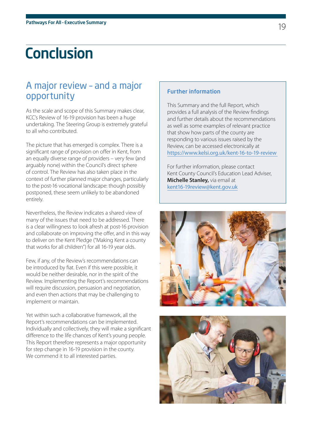# **Conclusion**

### A major review – and a major opportunity

As the scale and scope of this Summary makes clear, KCC's Review of 16-19 provision has been a huge undertaking. The Steering Group is extremely grateful to all who contributed.

The picture that has emerged is complex. There is a significant range of provision on offer in Kent, from an equally diverse range of providers – very few (and arguably none) within the Council's direct sphere of control. The Review has also taken place in the context of further planned major changes, particularly to the post-16 vocational landscape: though possibly postponed, these seem unlikely to be abandoned entirely.

Nevertheless, the Review indicates a shared view of many of the issues that need to be addressed. There is a clear willingness to look afresh at post-16 provision and collaborate on improving the offer, and in this way to deliver on the Kent Pledge ("Making Kent a county that works for all children") for all 16-19 year olds.

Few, if any, of the Review's recommendations can be introduced by fiat. Even if this were possible, it would be neither desirable, nor in the spirit of the Review. Implementing the Report's recommendations will require discussion, persuasion and negotiation, and even then actions that may be challenging to implement or maintain.

Yet within such a collaborative framework, all the Report's recommendations can be implemented. Individually and collectively, they will make a significant difference to the life chances of Kent's young people. This Report therefore represents a major opportunity for step change in 16-19 provision in the county. We commend it to all interested parties.

### Further information

This Summary and the full Report, which provides a full analysis of the Review findings and further details about the recommendations as well as some examples of relevant practice that show how parts of the county are responding to various issues raised by the Review, can be accessed electronically at <https://www.kelsi.org.uk/kent-16-to-19-review>

For further information, please contact Kent County Council's Education Lead Adviser, **Michelle Stanley,** via email at [kent16-19review@kent.gov.uk](Mailto:kent16-19review@kent.gov.uk)